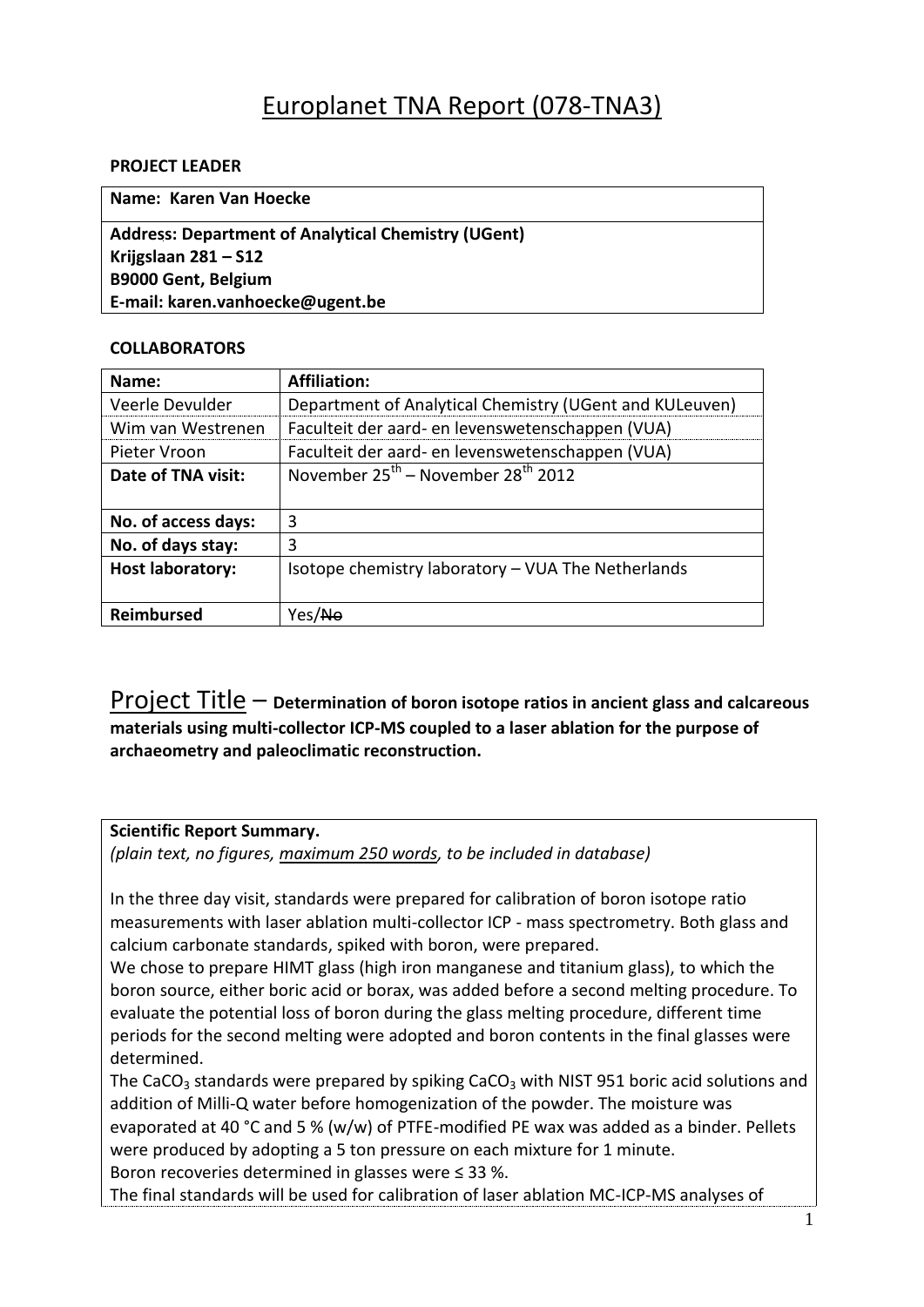# Europlanet TNA Report (078-TNA3)

## **PROJECT LEADER**

**Name: Karen Van Hoecke Address: Department of Analytical Chemistry (UGent) Krijgslaan 281 – S12 B9000 Gent, Belgium E-mail: karen.vanhoecke@ugent.be**

# **COLLABORATORS**

| Name:                   | <b>Affiliation:</b>                                     |  |  |  |
|-------------------------|---------------------------------------------------------|--|--|--|
| Veerle Devulder         | Department of Analytical Chemistry (UGent and KULeuven) |  |  |  |
| Wim van Westrenen       | Faculteit der aard- en levenswetenschappen (VUA)        |  |  |  |
| Pieter Vroon            | Faculteit der aard- en levenswetenschappen (VUA)        |  |  |  |
| Date of TNA visit:      | November $25^{th}$ – November $28^{th}$ 2012            |  |  |  |
|                         |                                                         |  |  |  |
| No. of access days:     | 3                                                       |  |  |  |
| No. of days stay:       | 3                                                       |  |  |  |
| <b>Host laboratory:</b> | Isotope chemistry laboratory - VUA The Netherlands      |  |  |  |
|                         |                                                         |  |  |  |
| Reimbursed              | Yes/ <del>No</del>                                      |  |  |  |

Project Title – **Determination of boron isotope ratios in ancient glass and calcareous materials using multi-collector ICP-MS coupled to a laser ablation for the purpose of archaeometry and paleoclimatic reconstruction.**

## **Scientific Report Summary.**

*(plain text, no figures, maximum 250 words, to be included in database)*

In the three day visit, standards were prepared for calibration of boron isotope ratio measurements with laser ablation multi-collector ICP - mass spectrometry. Both glass and calcium carbonate standards, spiked with boron, were prepared.

We chose to prepare HIMT glass (high iron manganese and titanium glass), to which the boron source, either boric acid or borax, was added before a second melting procedure. To evaluate the potential loss of boron during the glass melting procedure, different time periods for the second melting were adopted and boron contents in the final glasses were determined.

The CaCO<sub>3</sub> standards were prepared by spiking CaCO<sub>3</sub> with NIST 951 boric acid solutions and addition of Milli-Q water before homogenization of the powder. The moisture was evaporated at 40 °C and 5 % (w/w) of PTFE-modified PE wax was added as a binder. Pellets were produced by adopting a 5 ton pressure on each mixture for 1 minute. Boron recoveries determined in glasses were ≤ 33 %.

The final standards will be used for calibration of laser ablation MC-ICP-MS analyses of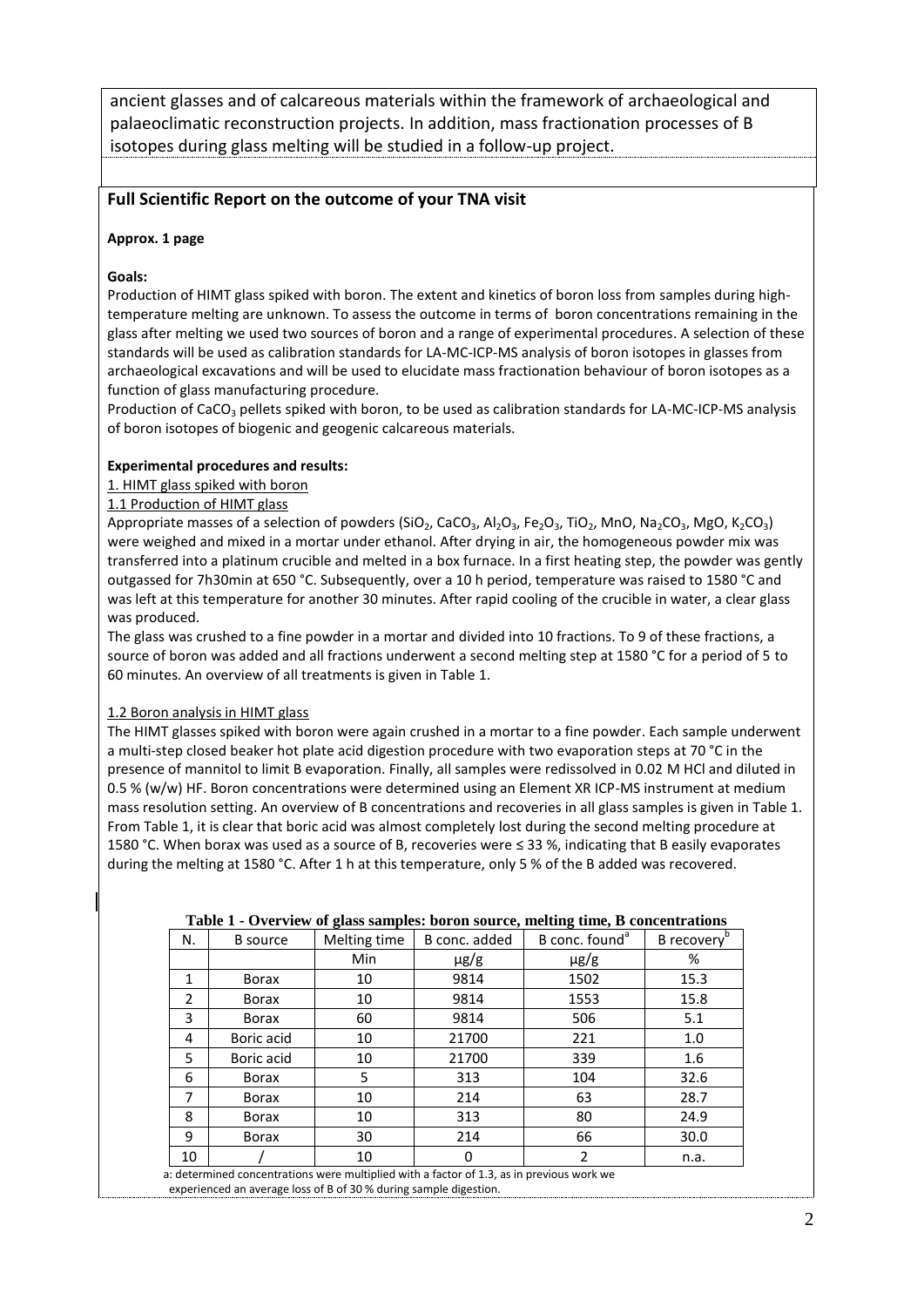ancient glasses and of calcareous materials within the framework of archaeological and palaeoclimatic reconstruction projects. In addition, mass fractionation processes of B isotopes during glass melting will be studied in a follow-up project.

## **Full Scientific Report on the outcome of your TNA visit**

### **Approx. 1 page**

### **Goals:**

Production of HIMT glass spiked with boron. The extent and kinetics of boron loss from samples during hightemperature melting are unknown. To assess the outcome in terms of boron concentrations remaining in the glass after melting we used two sources of boron and a range of experimental procedures. A selection of these standards will be used as calibration standards for LA-MC-ICP-MS analysis of boron isotopes in glasses from archaeological excavations and will be used to elucidate mass fractionation behaviour of boron isotopes as a function of glass manufacturing procedure.

Production of CaCO<sub>3</sub> pellets spiked with boron, to be used as calibration standards for LA-MC-ICP-MS analysis of boron isotopes of biogenic and geogenic calcareous materials.

#### **Experimental procedures and results:**

## 1. HIMT glass spiked with boron

### 1.1 Production of HIMT glass

Appropriate masses of a selection of powders (SiO<sub>2</sub>, CaCO<sub>3</sub>, Al<sub>2</sub>O<sub>3</sub>, Fe<sub>2</sub>O<sub>3</sub>, TiO<sub>2</sub>, MnO, Na<sub>2</sub>CO<sub>3</sub>, MgO, K<sub>2</sub>CO<sub>3</sub>) were weighed and mixed in a mortar under ethanol. After drying in air, the homogeneous powder mix was transferred into a platinum crucible and melted in a box furnace. In a first heating step, the powder was gently outgassed for 7h30min at 650 °C. Subsequently, over a 10 h period, temperature was raised to 1580 °C and was left at this temperature for another 30 minutes. After rapid cooling of the crucible in water, a clear glass was produced.

The glass was crushed to a fine powder in a mortar and divided into 10 fractions. To 9 of these fractions, a source of boron was added and all fractions underwent a second melting step at 1580 °C for a period of 5 to 60 minutes. An overview of all treatments is given in Table 1.

#### 1.2 Boron analysis in HIMT glass

The HIMT glasses spiked with boron were again crushed in a mortar to a fine powder. Each sample underwent a multi-step closed beaker hot plate acid digestion procedure with two evaporation steps at 70 °C in the presence of mannitol to limit B evaporation. Finally, all samples were redissolved in 0.02 M HCl and diluted in 0.5 % (w/w) HF. Boron concentrations were determined using an Element XR ICP-MS instrument at medium mass resolution setting. An overview of B concentrations and recoveries in all glass samples is given in Table 1. From Table 1, it is clear that boric acid was almost completely lost during the second melting procedure at 1580 °C. When borax was used as a source of B, recoveries were ≤ 33 %, indicating that B easily evaporates during the melting at 1580 °C. After 1 h at this temperature, only 5 % of the B added was recovered.

| N. | <b>B</b> source                                                                        | Melting time | B conc. added | B conc. found <sup>a</sup> | B recovery |  |  |
|----|----------------------------------------------------------------------------------------|--------------|---------------|----------------------------|------------|--|--|
|    |                                                                                        | Min          | $\mu$ g/g     | $\mu$ g/g                  | %          |  |  |
| 1  | <b>Borax</b>                                                                           | 10           | 9814          | 1502                       | 15.3       |  |  |
| 2  | <b>Borax</b>                                                                           | 10           | 9814          | 1553                       | 15.8       |  |  |
| 3  | <b>Borax</b>                                                                           | 60           | 9814          | 506                        | 5.1        |  |  |
| 4  | Boric acid                                                                             | 10           | 21700         | 221                        | 1.0        |  |  |
| 5  | Boric acid                                                                             | 10           | 21700         | 339                        | 1.6        |  |  |
| 6  | <b>Borax</b>                                                                           | 5            | 313           | 104                        | 32.6       |  |  |
| 7  | <b>Borax</b>                                                                           | 10           | 214           | 63                         | 28.7       |  |  |
| 8  | Borax                                                                                  | 10           | 313           | 80                         | 24.9       |  |  |
| 9  | <b>Borax</b>                                                                           | 30           | 214           | 66                         | 30.0       |  |  |
| 10 |                                                                                        | 10           | 0             | 2                          | n.a.       |  |  |
|    | determined concentrations were multiplied with a factor of 1.3, as in previous work we |              |               |                            |            |  |  |

#### **Table 1 - Overview of glass samples: boron source, melting time, B concentrations**

 a: determined concentrations were multiplied with a factor of 1.3, as in previous work we experienced an average loss of B of 30 % during sample digestion.